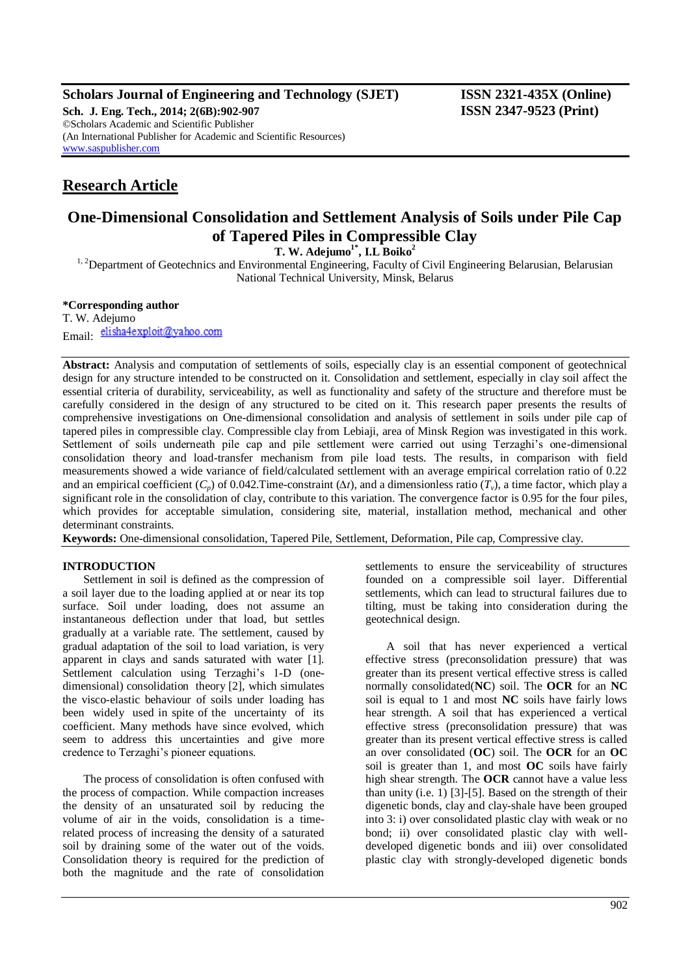**Scholars Journal of Engineering and Technology (SJET) ISSN 2321-435X (Online)**

**Sch. J. Eng. Tech., 2014; 2(6B):902-907 ISSN 2347-9523 (Print)** ©Scholars Academic and Scientific Publisher (An International Publisher for Academic and Scientific Resources) [www.saspublisher.com](http://www.saspublisher.com/)

# **Research Article**

## **One-Dimensional Consolidation and Settlement Analysis of Soils under Pile Cap of Tapered Piles in Compressible Clay**

**T. W. Adejumo1\*, I.L Boiko<sup>2</sup>**

<sup>1, 2</sup>Department of Geotechnics and Environmental Engineering, Faculty of Civil Engineering Belarusian, Belarusian National Technical University, Minsk, Belarus

### **\*Corresponding author**

T. W. Adejumo Email: elisha4exploit@yahoo.com

**Abstract:** Analysis and computation of settlements of soils, especially clay is an essential component of geotechnical design for any structure intended to be constructed on it. Consolidation and settlement, especially in clay soil affect the essential criteria of durability, serviceability, as well as functionality and safety of the structure and therefore must be carefully considered in the design of any structured to be cited on it. This research paper presents the results of comprehensive investigations on One-dimensional consolidation and analysis of settlement in soils under pile cap of tapered piles in compressible clay. Compressible clay from Lebiaji, area of Minsk Region was investigated in this work. Settlement of soils underneath pile cap and pile settlement were carried out using Terzaghi's one-dimensional consolidation theory and load-transfer mechanism from pile load tests. The results, in comparison with field measurements showed a wide variance of field/calculated settlement with an average empirical correlation ratio of 0.22 and an empirical coefficient  $(C_p)$  of 0.042.Time-constraint  $(\Delta t)$ , and a dimensionless ratio  $(T_v)$ , a time factor, which play a significant role in the consolidation of clay, contribute to this variation. The convergence factor is 0.95 for the four piles, which provides for acceptable simulation, considering site, material, installation method, mechanical and other determinant constraints.

**Keywords:** One-dimensional consolidation, Tapered Pile, Settlement, Deformation, Pile cap, Compressive clay.

### **INTRODUCTION**

Settlement in soil is defined as the compression of a soil layer due to the loading applied at or near its top surface. Soil under loading, does not assume an instantaneous deflection under that load, but settles gradually at a variable rate. The settlement, caused by gradual adaptation of the soil to load variation, is very apparent in clays and sands saturated with water [1]. Settlement calculation using Terzaghi's 1-D (onedimensional) consolidation theory [2], which simulates the visco-elastic behaviour of soils under loading has been widely used in spite of the uncertainty of its coefficient. Many methods have since evolved, which seem to address this uncertainties and give more credence to Terzaghi's pioneer equations.

The process of consolidation is often confused with the process of compaction. While compaction increases the density of an unsaturated soil by reducing the volume of air in the voids, consolidation is a timerelated process of increasing the density of a saturated soil by draining some of the water out of the voids. Consolidation theory is required for the prediction of both the magnitude and the rate of consolidation

settlements to ensure the serviceability of structures founded on a compressible soil layer. Differential settlements, which can lead to structural failures due to tilting, must be taking into consideration during the geotechnical design.

A soil that has never experienced a vertical effective stress (preconsolidation pressure) that was greater than its present vertical effective stress is called normally consolidated(**NC**) soil. The **OCR** for an **NC** soil is equal to 1 and most **NC** soils have fairly lows hear strength. A soil that has experienced a vertical effective stress (preconsolidation pressure) that was greater than its present vertical effective stress is called an over consolidated (**OC**) soil. The **OCR** for an **OC** soil is greater than 1, and most **OC** soils have fairly high shear strength. The **OCR** cannot have a value less than unity (i.e. 1) [3]-[5]. Based on the strength of their digenetic bonds, clay and clay-shale have been grouped into 3: i) over consolidated plastic clay with weak or no bond; ii) over consolidated plastic clay with welldeveloped digenetic bonds and iii) over consolidated plastic clay with strongly-developed digenetic bonds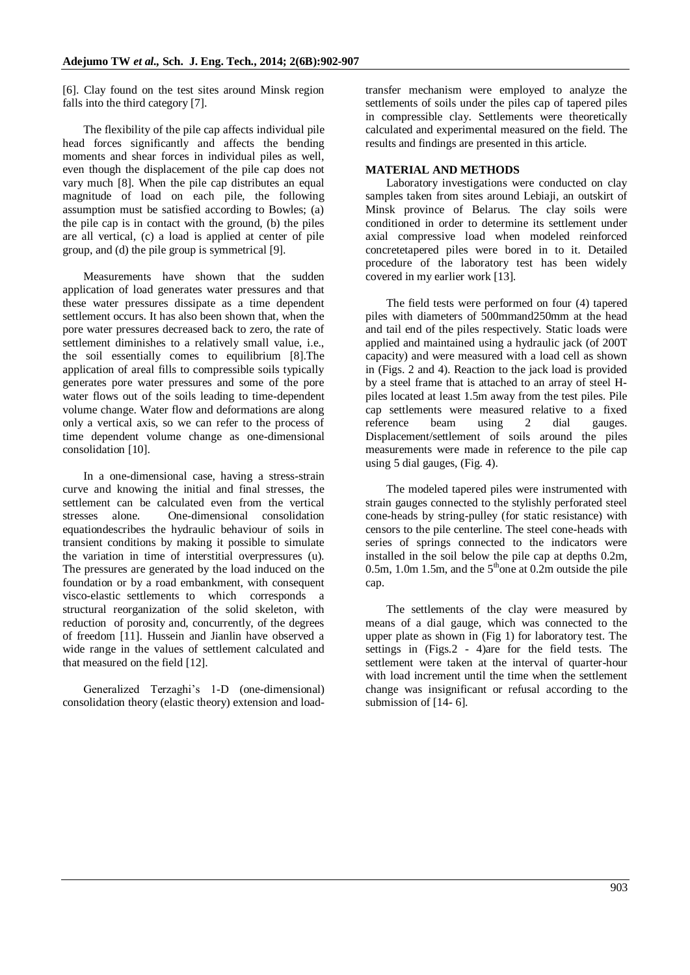[6]. Clay found on the test sites around Minsk region falls into the third category [7].

The flexibility of the pile cap affects individual pile head forces significantly and affects the bending moments and shear forces in individual piles as well, even though the displacement of the pile cap does not vary much [8]. When the pile cap distributes an equal magnitude of load on each pile, the following assumption must be satisfied according to Bowles; (a) the pile cap is in contact with the ground, (b) the piles are all vertical, (c) a load is applied at center of pile group, and (d) the pile group is symmetrical [9].

Measurements have shown that the sudden application of load generates water pressures and that these water pressures dissipate as a time dependent settlement occurs. It has also been shown that, when the pore water pressures decreased back to zero, the rate of settlement diminishes to a relatively small value, i.e., the soil essentially comes to equilibrium [8].The application of areal fills to compressible soils typically generates pore water pressures and some of the pore water flows out of the soils leading to time-dependent volume change. Water flow and deformations are along only a vertical axis, so we can refer to the process of time dependent volume change as one-dimensional consolidation [10].

In a one-dimensional case, having a stress-strain curve and knowing the initial and final stresses, the settlement can be calculated even from the vertical stresses alone. One-dimensional consolidation equationdescribes the hydraulic behaviour of soils in transient conditions by making it possible to simulate the variation in time of interstitial overpressures (u). The pressures are generated by the load induced on the foundation or by a road embankment, with consequent visco-elastic settlements to which corresponds a structural reorganization of the solid skeleton, with reduction of porosity and, concurrently, of the degrees of freedom [11]. Hussein and Jianlin have observed a wide range in the values of settlement calculated and that measured on the field [12].

Generalized Terzaghi's 1-D (one-dimensional) consolidation theory (elastic theory) extension and loadtransfer mechanism were employed to analyze the settlements of soils under the piles cap of tapered piles in compressible clay. Settlements were theoretically calculated and experimental measured on the field. The results and findings are presented in this article.

### **MATERIAL AND METHODS**

Laboratory investigations were conducted on clay samples taken from sites around Lebiaji, an outskirt of Minsk province of Belarus. The clay soils were conditioned in order to determine its settlement under axial compressive load when modeled reinforced concretetapered piles were bored in to it. Detailed procedure of the laboratory test has been widely covered in my earlier work [13].

The field tests were performed on four (4) tapered piles with diameters of 500mmand250mm at the head and tail end of the piles respectively. Static loads were applied and maintained using a hydraulic jack (of 200T capacity) and were measured with a load cell as shown in (Figs. 2 and 4). Reaction to the jack load is provided by a steel frame that is attached to an array of steel Hpiles located at least 1.5m away from the test piles. Pile cap settlements were measured relative to a fixed reference beam using 2 dial gauges. Displacement/settlement of soils around the piles measurements were made in reference to the pile cap using 5 dial gauges, (Fig. 4).

The modeled tapered piles were instrumented with strain gauges connected to the stylishly perforated steel cone-heads by string-pulley (for static resistance) with censors to the pile centerline. The steel cone-heads with series of springs connected to the indicators were installed in the soil below the pile cap at depths 0.2m, 0.5m, 1.0m 1.5m, and the  $5<sup>th</sup>$  one at 0.2m outside the pile cap.

The settlements of the clay were measured by means of a dial gauge, which was connected to the upper plate as shown in (Fig 1) for laboratory test. The settings in (Figs.2 - 4)are for the field tests. The settlement were taken at the interval of quarter-hour with load increment until the time when the settlement change was insignificant or refusal according to the submission of [14- 6].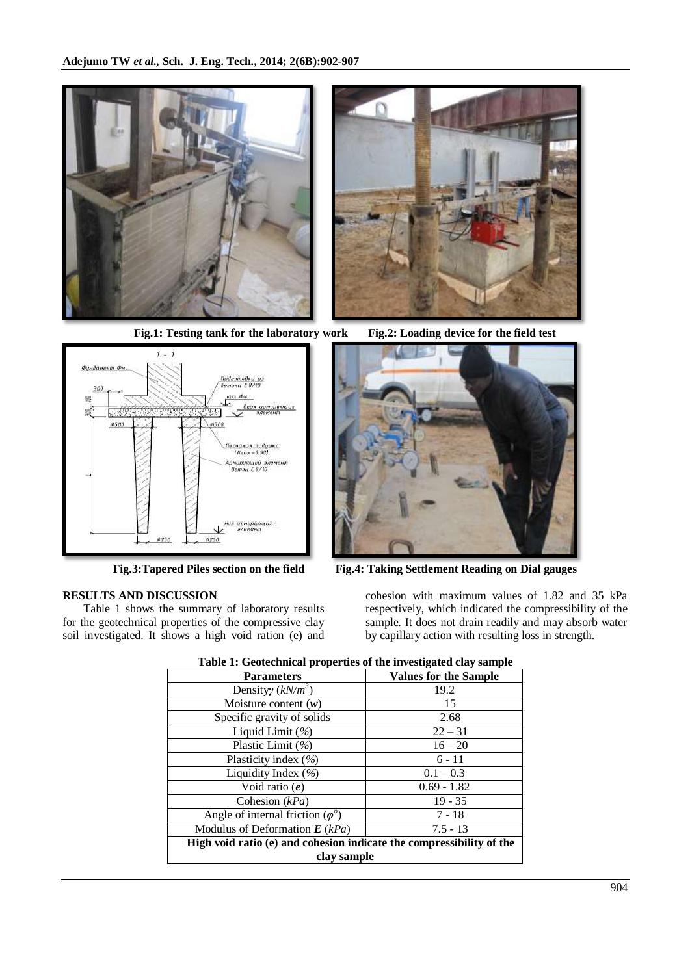





## **RESULTS AND DISCUSSION**

Table 1 shows the summary of laboratory results for the geotechnical properties of the compressive clay soil investigated. It shows a high void ration (e) and





**Fig.3:Tapered Piles section on the field Fig.4: Taking Settlement Reading on Dial gauges**

cohesion with maximum values of 1.82 and 35 kPa respectively, which indicated the compressibility of the sample. It does not drain readily and may absorb water by capillary action with resulting loss in strength.

| rabic re oconcennicar properates or the investigated clay sample     |                              |  |  |  |  |
|----------------------------------------------------------------------|------------------------------|--|--|--|--|
| <b>Parameters</b>                                                    | <b>Values for the Sample</b> |  |  |  |  |
| Density $(kN/m^3)$                                                   | 19.2                         |  |  |  |  |
| Moisture content $(w)$                                               | 15                           |  |  |  |  |
| Specific gravity of solids                                           | 2.68                         |  |  |  |  |
| Liquid Limit (%)                                                     | $22 - 31$                    |  |  |  |  |
| Plastic Limit (%)                                                    | $16 - 20$                    |  |  |  |  |
| Plasticity index $(\% )$                                             | $6 - 11$                     |  |  |  |  |
| Liquidity Index $(\% )$                                              | $0.1 - 0.3$                  |  |  |  |  |
| Void ratio $(e)$                                                     | $0.69 - 1.82$                |  |  |  |  |
| Cohesion $(kPa)$                                                     | $19 - 35$                    |  |  |  |  |
| Angle of internal friction $(\varphi^0)$                             | $7 - 18$                     |  |  |  |  |
| Modulus of Deformation $E(kPa)$                                      | $7.5 - 13$                   |  |  |  |  |
| High void ratio (e) and cohesion indicate the compressibility of the |                              |  |  |  |  |
| clay sample                                                          |                              |  |  |  |  |

#### **Table 1: Geotechnical properties of the investigated clay sample**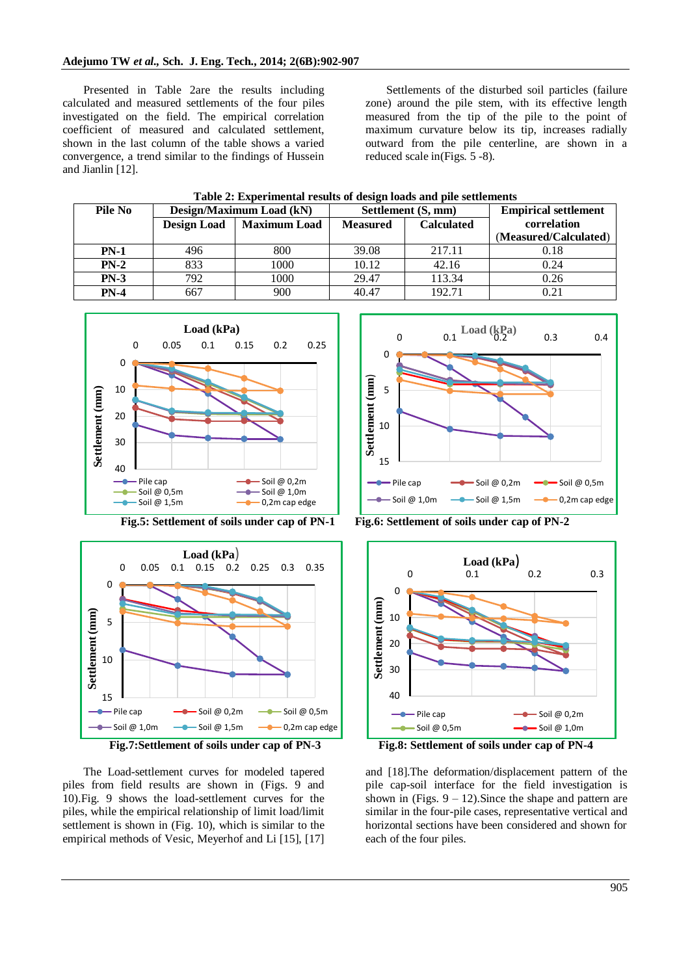Presented in Table 2are the results including calculated and measured settlements of the four piles investigated on the field. The empirical correlation coefficient of measured and calculated settlement, shown in the last column of the table shows a varied convergence, a trend similar to the findings of Hussein and Jianlin [12].

Settlements of the disturbed soil particles (failure zone) around the pile stem, with its effective length measured from the tip of the pile to the point of maximum curvature below its tip, increases radially outward from the pile centerline, are shown in a reduced scale in(Figs. 5 -8).

|   |          | Table 2: Experimental results of design loads and pile settlements |  |
|---|----------|--------------------------------------------------------------------|--|
| . | ________ |                                                                    |  |

| Pile No | Design/Maximum Load (kN) |                     | Settlement (S, mm) |                   | <b>Empirical settlement</b> |
|---------|--------------------------|---------------------|--------------------|-------------------|-----------------------------|
|         | <b>Design Load</b>       | <b>Maximum Load</b> | <b>Measured</b>    | <b>Calculated</b> | correlation                 |
|         |                          |                     |                    |                   | (Measured/Calculated)       |
| $PN-1$  | 496                      | 800                 | 39.08              | 217.11            | 0.18                        |
| $PN-2$  | 833                      | 1000                | 10.12              | 42.16             | 0.24                        |
| $PN-3$  | 792                      | 1000                | 29.47              | 113.34            | 0.26                        |
| $PN-4$  | 667                      | 900                 | 40.47              | 192.71            | 0.21                        |







The Load-settlement curves for modeled tapered piles from field results are shown in (Figs. 9 and 10).Fig. 9 shows the load-settlement curves for the piles, while the empirical relationship of limit load/limit settlement is shown in (Fig. 10), which is similar to the empirical methods of Vesic, Meyerhof and Li [15], [17]





and [18].The deformation/displacement pattern of the pile cap-soil interface for the field investigation is shown in (Figs.  $9 - 12$ ). Since the shape and pattern are similar in the four-pile cases, representative vertical and horizontal sections have been considered and shown for each of the four piles.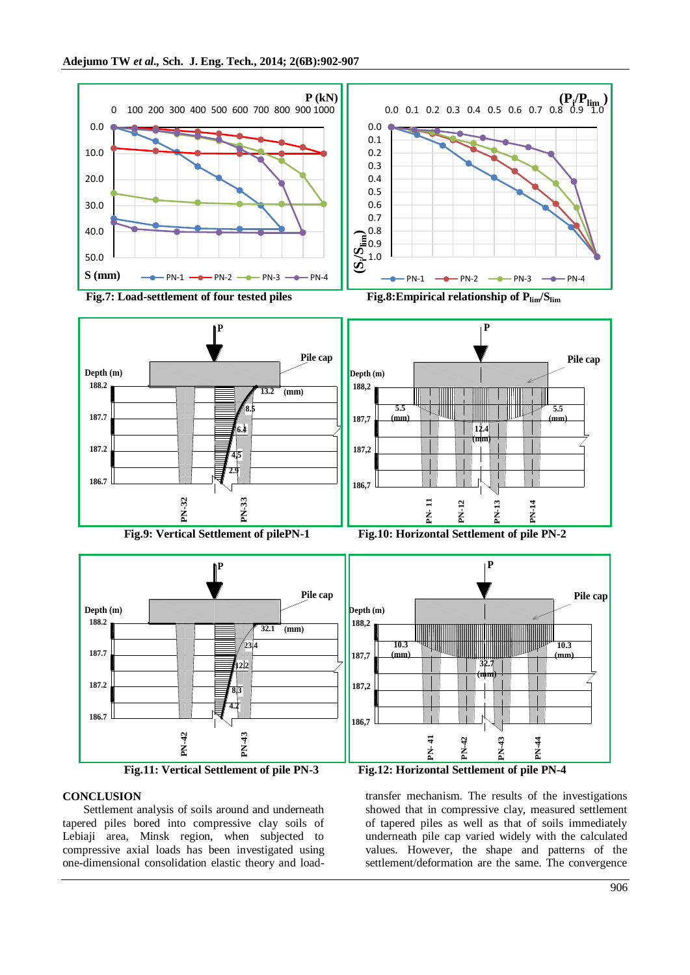



### **CONCLUSION**

Settlement analysis of soils around and underneath tapered piles bored into compressive clay soils of Lebiaji area, Minsk region, when subjected to compressive axial loads has been investigated using one-dimensional consolidation elastic theory and loadtransfer mechanism. The results of the investigations showed that in compressive clay, measured settlement of tapered piles as well as that of soils immediately underneath pile cap varied widely with the calculated values. However, the shape and patterns of the settlement/deformation are the same. The convergence